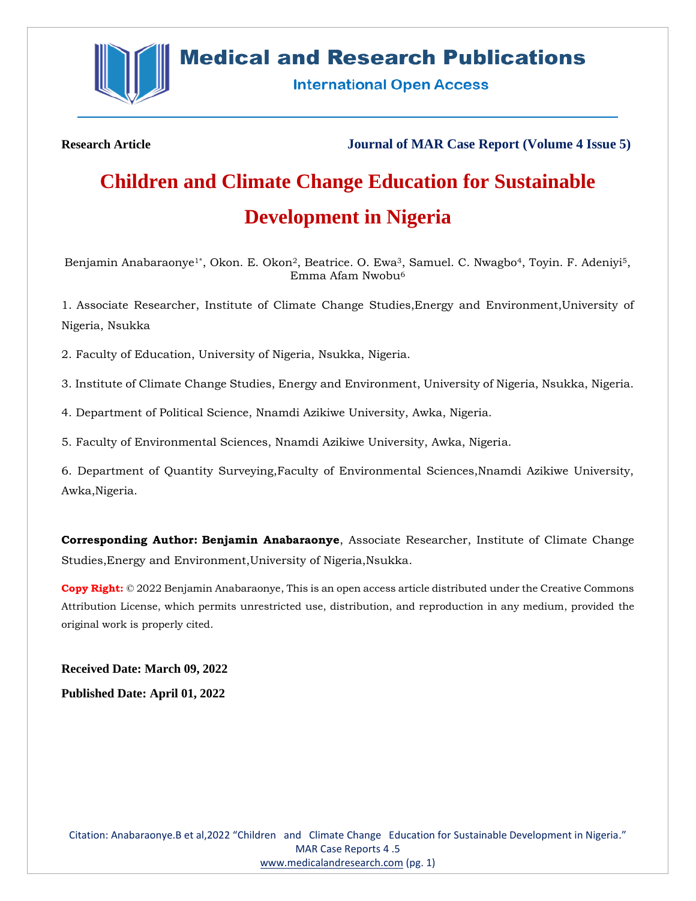

# **Medical and Research Publications**

**International Open Access** 

**Research Article Journal of MAR Case Report (Volume 4 Issue 5)**

# **Children and Climate Change Education for Sustainable Development in Nigeria**

Benjamin Anabaraonye<sup>1\*</sup>, Okon. E. Okon<sup>2</sup>, Beatrice. O. Ewa<sup>3</sup>, Samuel. C. Nwagbo<sup>4</sup>, Toyin. F. Adeniyi<sup>5</sup>, Emma Afam Nwobu<sup>6</sup>

1. Associate Researcher, Institute of Climate Change Studies,Energy and Environment,University of Nigeria, Nsukka

2. Faculty of Education, University of Nigeria, Nsukka, Nigeria.

3. Institute of Climate Change Studies, Energy and Environment, University of Nigeria, Nsukka, Nigeria.

4. Department of Political Science, Nnamdi Azikiwe University, Awka, Nigeria.

5. Faculty of Environmental Sciences, Nnamdi Azikiwe University, Awka, Nigeria.

6. Department of Quantity Surveying,Faculty of Environmental Sciences,Nnamdi Azikiwe University, Awka,Nigeria.

**Corresponding Author: Benjamin Anabaraonye**, Associate Researcher, Institute of Climate Change Studies,Energy and Environment,University of Nigeria,Nsukka.

**Copy Right:** © 2022 Benjamin Anabaraonye, This is an open access article distributed under the Creative Commons Attribution License, which permits unrestricted use, distribution, and reproduction in any medium, provided the original work is properly cited.

**Received Date: March 09, 2022 Published Date: April 01, 2022**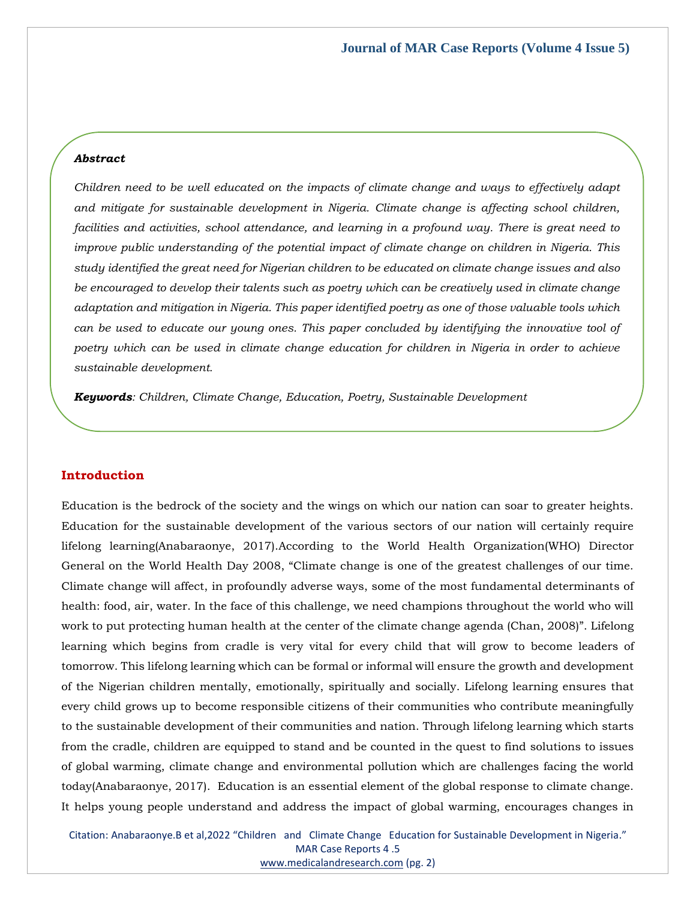### *Abstract*

*Children need to be well educated on the impacts of climate change and ways to effectively adapt and mitigate for sustainable development in Nigeria. Climate change is affecting school children, facilities and activities, school attendance, and learning in a profound way. There is great need to improve public understanding of the potential impact of climate change on children in Nigeria. This study identified the great need for Nigerian children to be educated on climate change issues and also be encouraged to develop their talents such as poetry which can be creatively used in climate change adaptation and mitigation in Nigeria. This paper identified poetry as one of those valuable tools which can be used to educate our young ones. This paper concluded by identifying the innovative tool of poetry which can be used in climate change education for children in Nigeria in order to achieve sustainable development.*

*Keywords: Children, Climate Change, Education, Poetry, Sustainable Development*

# **Introduction**

Education is the bedrock of the society and the wings on which our nation can soar to greater heights. Education for the sustainable development of the various sectors of our nation will certainly require lifelong learning(Anabaraonye, 2017).According to the World Health Organization(WHO) Director General on the World Health Day 2008, "Climate change is one of the greatest challenges of our time. Climate change will affect, in profoundly adverse ways, some of the most fundamental determinants of health: food, air, water. In the face of this challenge, we need champions throughout the world who will work to put protecting human health at the center of the climate change agenda (Chan, 2008)". Lifelong learning which begins from cradle is very vital for every child that will grow to become leaders of tomorrow. This lifelong learning which can be formal or informal will ensure the growth and development of the Nigerian children mentally, emotionally, spiritually and socially. Lifelong learning ensures that every child grows up to become responsible citizens of their communities who contribute meaningfully to the sustainable development of their communities and nation. Through lifelong learning which starts from the cradle, children are equipped to stand and be counted in the quest to find solutions to issues of global warming, climate change and environmental pollution which are challenges facing the world today(Anabaraonye, 2017). Education is an essential element of the global response to climate change. It helps young people understand and address the impact of global warming, encourages changes in

Citation: Anabaraonye.B et al,2022 "Children and Climate Change Education for Sustainable Development in Nigeria." MAR Case Reports 4 .5 [www.medicalandresearch.com](http://www.medicalandresearch.com/) (pg. 2)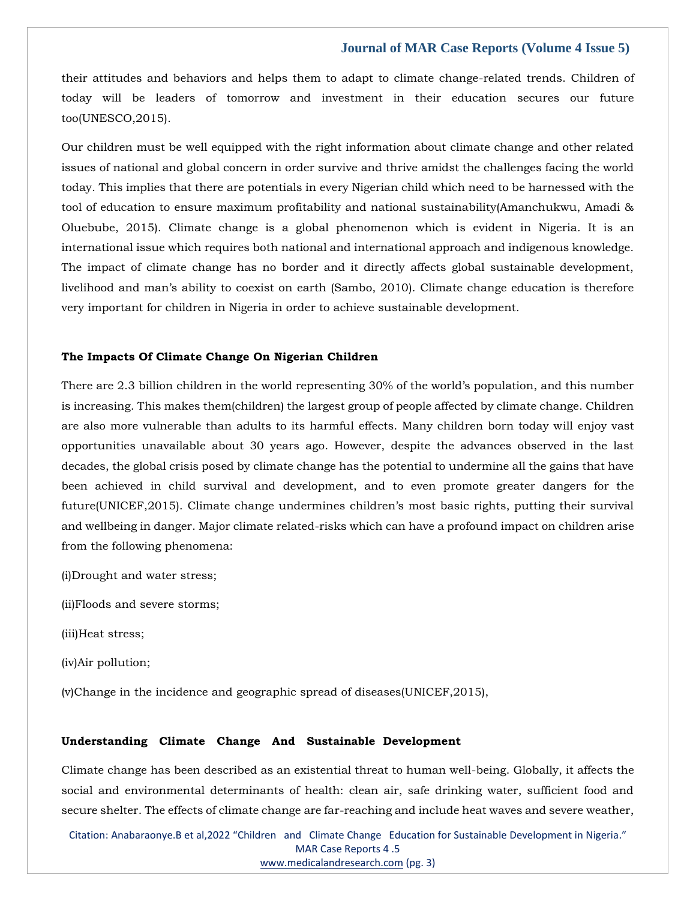their attitudes and behaviors and helps them to adapt to climate change-related trends. Children of today will be leaders of tomorrow and investment in their education secures our future too(UNESCO,2015).

Our children must be well equipped with the right information about climate change and other related issues of national and global concern in order survive and thrive amidst the challenges facing the world today. This implies that there are potentials in every Nigerian child which need to be harnessed with the tool of education to ensure maximum profitability and national sustainability(Amanchukwu, Amadi & Oluebube, 2015). Climate change is a global phenomenon which is evident in Nigeria. It is an international issue which requires both national and international approach and indigenous knowledge. The impact of climate change has no border and it directly affects global sustainable development, livelihood and man's ability to coexist on earth (Sambo, 2010). Climate change education is therefore very important for children in Nigeria in order to achieve sustainable development.

#### **The Impacts Of Climate Change On Nigerian Children**

There are 2.3 billion children in the world representing 30% of the world's population, and this number is increasing. This makes them(children) the largest group of people affected by climate change. Children are also more vulnerable than adults to its harmful effects. Many children born today will enjoy vast opportunities unavailable about 30 years ago. However, despite the advances observed in the last decades, the global crisis posed by climate change has the potential to undermine all the gains that have been achieved in child survival and development, and to even promote greater dangers for the future(UNICEF,2015). Climate change undermines children's most basic rights, putting their survival and wellbeing in danger. Major climate related-risks which can have a profound impact on children arise from the following phenomena:

(i)Drought and water stress;

(ii)Floods and severe storms;

(iii)Heat stress;

(iv)Air pollution;

(v)Change in the incidence and geographic spread of diseases(UNICEF,2015),

#### **Understanding Climate Change And Sustainable Development**

Climate change has been described as an existential threat to human well-being. Globally, it affects the social and environmental determinants of health: clean air, safe drinking water, sufficient food and secure shelter. The effects of climate change are far-reaching and include heat waves and severe weather,

Citation: Anabaraonye.B et al,2022 "Children and Climate Change Education for Sustainable Development in Nigeria." MAR Case Reports 4 .5 [www.medicalandresearch.com](http://www.medicalandresearch.com/) (pg. 3)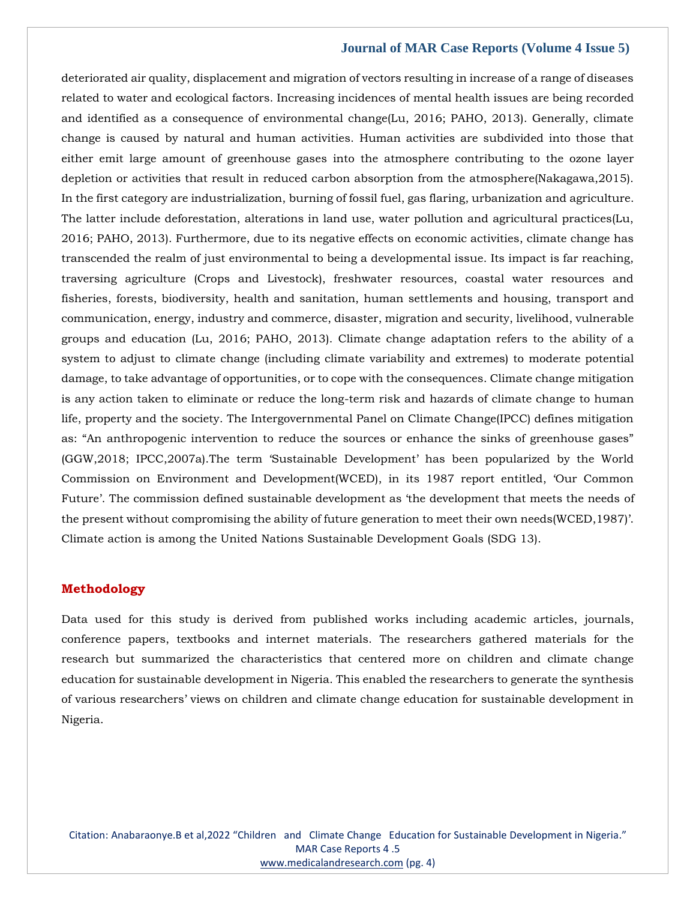deteriorated air quality, displacement and migration of vectors resulting in increase of a range of diseases related to water and ecological factors. Increasing incidences of mental health issues are being recorded and identified as a consequence of environmental change(Lu, 2016; PAHO, 2013). Generally, climate change is caused by natural and human activities. Human activities are subdivided into those that either emit large amount of greenhouse gases into the atmosphere contributing to the ozone layer depletion or activities that result in reduced carbon absorption from the atmosphere(Nakagawa,2015). In the first category are industrialization, burning of fossil fuel, gas flaring, urbanization and agriculture. The latter include deforestation, alterations in land use, water pollution and agricultural practices(Lu, 2016; PAHO, 2013). Furthermore, due to its negative effects on economic activities, climate change has transcended the realm of just environmental to being a developmental issue. Its impact is far reaching, traversing agriculture (Crops and Livestock), freshwater resources, coastal water resources and fisheries, forests, biodiversity, health and sanitation, human settlements and housing, transport and communication, energy, industry and commerce, disaster, migration and security, livelihood, vulnerable groups and education (Lu, 2016; PAHO, 2013). Climate change adaptation refers to the ability of a system to adjust to climate change (including climate variability and extremes) to moderate potential damage, to take advantage of opportunities, or to cope with the consequences. Climate change mitigation is any action taken to eliminate or reduce the long-term risk and hazards of climate change to human life, property and the society. The Intergovernmental Panel on Climate Change(IPCC) defines mitigation as: "An anthropogenic intervention to reduce the sources or enhance the sinks of greenhouse gases" (GGW,2018; IPCC,2007a).The term 'Sustainable Development' has been popularized by the World Commission on Environment and Development(WCED), in its 1987 report entitled, 'Our Common Future'. The commission defined sustainable development as 'the development that meets the needs of the present without compromising the ability of future generation to meet their own needs(WCED,1987)'. Climate action is among the United Nations Sustainable Development Goals (SDG 13).

## **Methodology**

Data used for this study is derived from published works including academic articles, journals, conference papers, textbooks and internet materials. The researchers gathered materials for the research but summarized the characteristics that centered more on children and climate change education for sustainable development in Nigeria. This enabled the researchers to generate the synthesis of various researchers' views on children and climate change education for sustainable development in Nigeria.

Citation: Anabaraonye.B et al,2022 "Children and Climate Change Education for Sustainable Development in Nigeria." MAR Case Reports 4 .5 [www.medicalandresearch.com](http://www.medicalandresearch.com/) (pg. 4)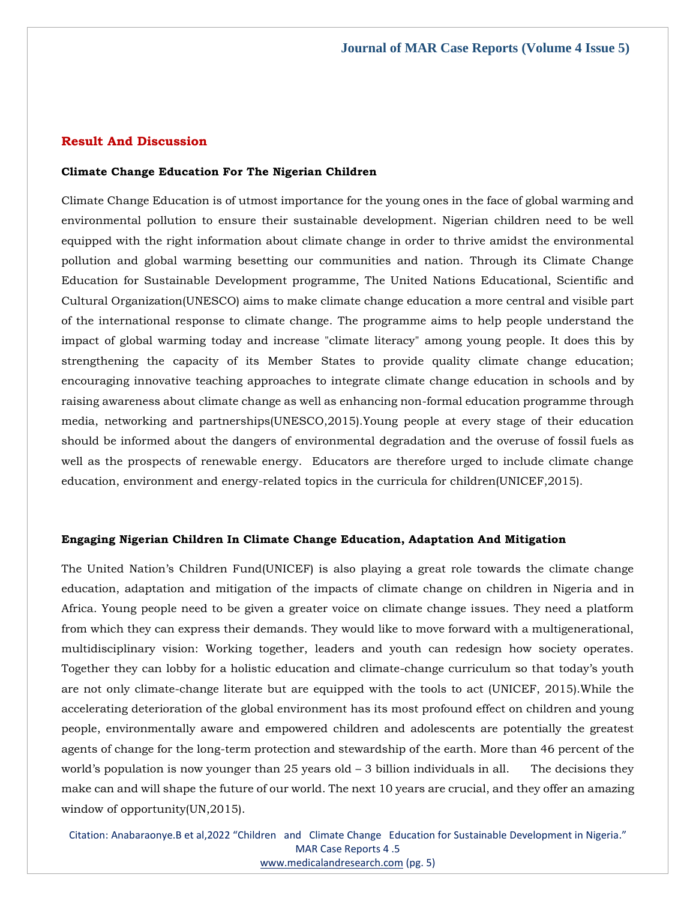## **Result And Discussion**

# **Climate Change Education For The Nigerian Children**

Climate Change Education is of utmost importance for the young ones in the face of global warming and environmental pollution to ensure their sustainable development. Nigerian children need to be well equipped with the right information about climate change in order to thrive amidst the environmental pollution and global warming besetting our communities and nation. Through its Climate Change Education for Sustainable Development programme, The United Nations Educational, Scientific and Cultural Organization(UNESCO) aims to make climate change education a more central and visible part of the international response to climate change. The programme aims to help people understand the impact of global warming today and increase "climate literacy" among young people. It does this by strengthening the capacity of its Member States to provide quality climate change education; encouraging innovative teaching approaches to integrate climate change education in schools and by raising awareness about climate change as well as enhancing non-formal education programme through media, networking and partnerships(UNESCO,2015).Young people at every stage of their education should be informed about the dangers of environmental degradation and the overuse of fossil fuels as well as the prospects of renewable energy. Educators are therefore urged to include climate change education, environment and energy-related topics in the curricula for children(UNICEF,2015).

# **Engaging Nigerian Children In Climate Change Education, Adaptation And Mitigation**

The United Nation's Children Fund(UNICEF) is also playing a great role towards the climate change education, adaptation and mitigation of the impacts of climate change on children in Nigeria and in Africa. Young people need to be given a greater voice on climate change issues. They need a platform from which they can express their demands. They would like to move forward with a multigenerational, multidisciplinary vision: Working together, leaders and youth can redesign how society operates. Together they can lobby for a holistic education and climate-change curriculum so that today's youth are not only climate-change literate but are equipped with the tools to act (UNICEF, 2015).While the accelerating deterioration of the global environment has its most profound effect on children and young people, environmentally aware and empowered children and adolescents are potentially the greatest agents of change for the long-term protection and stewardship of the earth. More than 46 percent of the world's population is now younger than  $25$  years old  $-3$  billion individuals in all. The decisions they make can and will shape the future of our world. The next 10 years are crucial, and they offer an amazing window of opportunity(UN,2015).

Citation: Anabaraonye.B et al,2022 "Children and Climate Change Education for Sustainable Development in Nigeria." MAR Case Reports 4 .5 [www.medicalandresearch.com](http://www.medicalandresearch.com/) (pg. 5)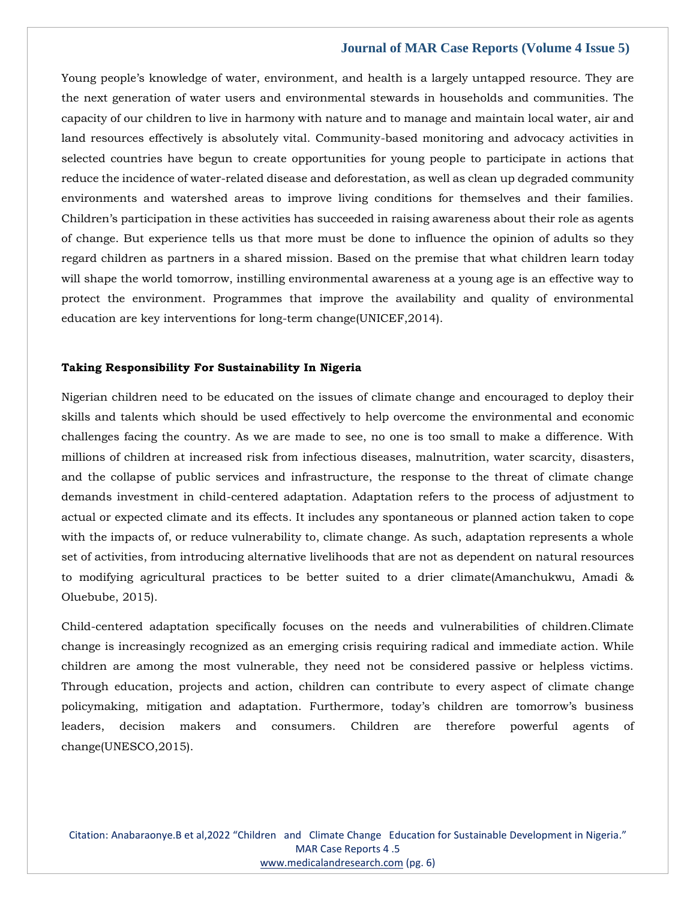Young people's knowledge of water, environment, and health is a largely untapped resource. They are the next generation of water users and environmental stewards in households and communities. The capacity of our children to live in harmony with nature and to manage and maintain local water, air and land resources effectively is absolutely vital. Community-based monitoring and advocacy activities in selected countries have begun to create opportunities for young people to participate in actions that reduce the incidence of water-related disease and deforestation, as well as clean up degraded community environments and watershed areas to improve living conditions for themselves and their families. Children's participation in these activities has succeeded in raising awareness about their role as agents of change. But experience tells us that more must be done to influence the opinion of adults so they regard children as partners in a shared mission. Based on the premise that what children learn today will shape the world tomorrow, instilling environmental awareness at a young age is an effective way to protect the environment. Programmes that improve the availability and quality of environmental education are key interventions for long-term change(UNICEF,2014).

# **Taking Responsibility For Sustainability In Nigeria**

Nigerian children need to be educated on the issues of climate change and encouraged to deploy their skills and talents which should be used effectively to help overcome the environmental and economic challenges facing the country. As we are made to see, no one is too small to make a difference. With millions of children at increased risk from infectious diseases, malnutrition, water scarcity, disasters, and the collapse of public services and infrastructure, the response to the threat of climate change demands investment in child-centered adaptation. Adaptation refers to the process of adjustment to actual or expected climate and its effects. It includes any spontaneous or planned action taken to cope with the impacts of, or reduce vulnerability to, climate change. As such, adaptation represents a whole set of activities, from introducing alternative livelihoods that are not as dependent on natural resources to modifying agricultural practices to be better suited to a drier climate(Amanchukwu, Amadi & Oluebube, 2015).

Child-centered adaptation specifically focuses on the needs and vulnerabilities of children.Climate change is increasingly recognized as an emerging crisis requiring radical and immediate action. While children are among the most vulnerable, they need not be considered passive or helpless victims. Through education, projects and action, children can contribute to every aspect of climate change policymaking, mitigation and adaptation. Furthermore, today's children are tomorrow's business leaders, decision makers and consumers. Children are therefore powerful agents of change(UNESCO,2015).

Citation: Anabaraonye.B et al,2022 "Children and Climate Change Education for Sustainable Development in Nigeria." MAR Case Reports 4 .5 [www.medicalandresearch.com](http://www.medicalandresearch.com/) (pg. 6)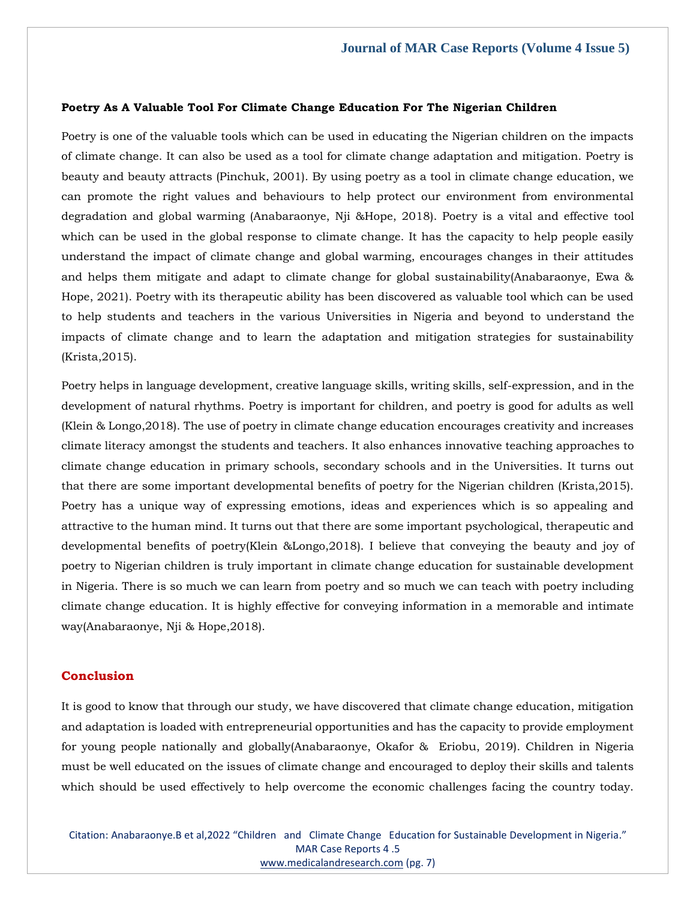## **Poetry As A Valuable Tool For Climate Change Education For The Nigerian Children**

Poetry is one of the valuable tools which can be used in educating the Nigerian children on the impacts of climate change. It can also be used as a tool for climate change adaptation and mitigation. Poetry is beauty and beauty attracts (Pinchuk, 2001). By using poetry as a tool in climate change education, we can promote the right values and behaviours to help protect our environment from environmental degradation and global warming (Anabaraonye, Nji &Hope, 2018). Poetry is a vital and effective tool which can be used in the global response to climate change. It has the capacity to help people easily understand the impact of climate change and global warming, encourages changes in their attitudes and helps them mitigate and adapt to climate change for global sustainability(Anabaraonye, Ewa & Hope, 2021). Poetry with its therapeutic ability has been discovered as valuable tool which can be used to help students and teachers in the various Universities in Nigeria and beyond to understand the impacts of climate change and to learn the adaptation and mitigation strategies for sustainability (Krista,2015).

Poetry helps in language development, creative language skills, writing skills, self-expression, and in the development of natural rhythms. Poetry is important for children, and poetry is good for adults as well (Klein & Longo,2018). The use of poetry in climate change education encourages creativity and increases climate literacy amongst the students and teachers. It also enhances innovative teaching approaches to climate change education in primary schools, secondary schools and in the Universities. It turns out that there are some important developmental benefits of poetry for the Nigerian children (Krista,2015). Poetry has a unique way of expressing emotions, ideas and experiences which is so appealing and attractive to the human mind. It turns out that there are some important psychological, therapeutic and developmental benefits of poetry(Klein &Longo,2018). I believe that conveying the beauty and joy of poetry to Nigerian children is truly important in climate change education for sustainable development in Nigeria. There is so much we can learn from poetry and so much we can teach with poetry including climate change education. It is highly effective for conveying information in a memorable and intimate way(Anabaraonye, Nji & Hope,2018).

# **Conclusion**

It is good to know that through our study, we have discovered that climate change education, mitigation and adaptation is loaded with entrepreneurial opportunities and has the capacity to provide employment for young people nationally and globally(Anabaraonye, Okafor & Eriobu, 2019). Children in Nigeria must be well educated on the issues of climate change and encouraged to deploy their skills and talents which should be used effectively to help overcome the economic challenges facing the country today.

Citation: Anabaraonye.B et al,2022 "Children and Climate Change Education for Sustainable Development in Nigeria." MAR Case Reports 4 .5 [www.medicalandresearch.com](http://www.medicalandresearch.com/) (pg. 7)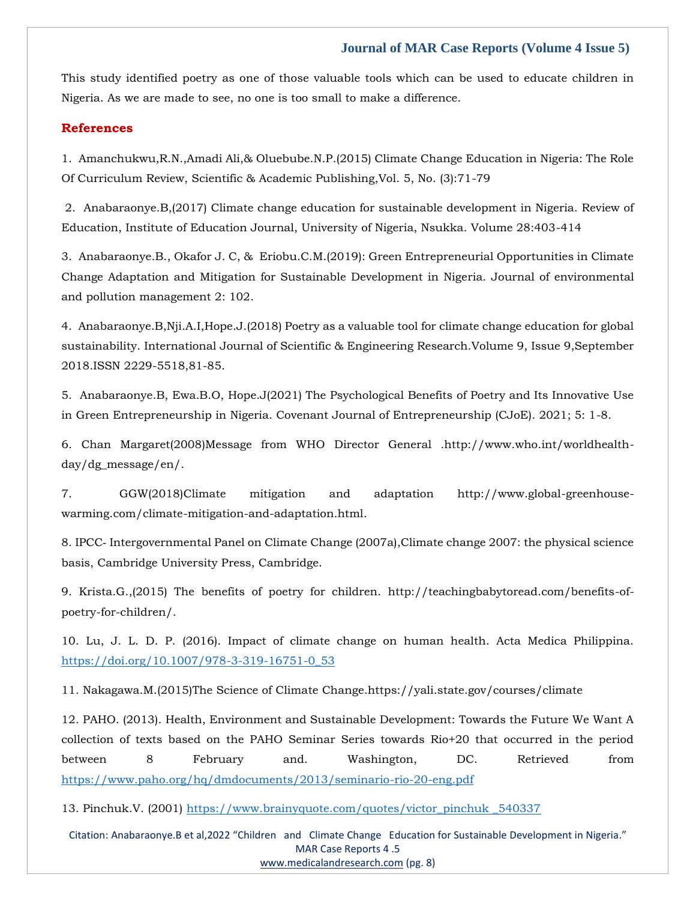This study identified poetry as one of those valuable tools which can be used to educate children in Nigeria. As we are made to see, no one is too small to make a difference.

#### **References**

[1. Amanchukwu,R.N.,Amadi Ali,& Oluebube.N.P.\(2015\) Climate Change Education in Nigeria: The Role](https://www.google.com/search?q=Anatomy%2C+Head+and+Neck%2C+Masseter+Muscle&sxsrf=APq-WBtZPNXn7nvwA125JbGO3ElXLnKBcQ%3A1647248480602&ei=YAQvYrmqJIeG4-EP_L--mAQ&ved=0ahUKEwi52qvknsX2AhUHwzgGHfyfD0MQ4dUDCA4&oq=Anatomy%2C+Head+and+Neck%2C+Masseter+Muscle&gs_lcp=Cgdnd3Mtd2l6EAwyBQghEKABOgcIIxDqAhAnSgQIQRgASgQIRhgAUNEBWNEBYJQHaAFwAXgAgAGMAYgBjAGSAQMwLjGYAQCgAQGgAQKwAQrAAQE&sclient=gws-wiz)  [Of Curriculum Review, Scientific & Academic Publishing,Vol. 5, No. \(3\):71-79](https://www.google.com/search?q=Anatomy%2C+Head+and+Neck%2C+Masseter+Muscle&sxsrf=APq-WBtZPNXn7nvwA125JbGO3ElXLnKBcQ%3A1647248480602&ei=YAQvYrmqJIeG4-EP_L--mAQ&ved=0ahUKEwi52qvknsX2AhUHwzgGHfyfD0MQ4dUDCA4&oq=Anatomy%2C+Head+and+Neck%2C+Masseter+Muscle&gs_lcp=Cgdnd3Mtd2l6EAwyBQghEKABOgcIIxDqAhAnSgQIQRgASgQIRhgAUNEBWNEBYJQHaAFwAXgAgAGMAYgBjAGSAQMwLjGYAQCgAQGgAQKwAQrAAQE&sclient=gws-wiz)

[2. Anabaraonye.B,\(2017\) Climate change education for sustainable development in Nigeria. Review of](https://www.google.com/search?q=Idiopathic+masseter+muscle+hypertrophy%3A+a+case+report.+&sxsrf=APq-WBv3guTu0QlVJwDgRDRhTJu1wgqPqA%3A1647249622521&ei=1ggvYue0H7XDpgfnjI_QDA&ved=0ahUKEwjn9-yEo8X2AhW1oekKHWfGA8oQ4dUDCA4&oq=Idiopathic+masseter+muscle+hypertrophy%3A+a+case+report.+&gs_lcp=Cgdnd3Mtd2l6EAwyBwgjEOoCECcyBwgjEOoCECcyBwgjEOoCECcyBwgjEOoCECcyBwgjEOoCECcyBwgjEOoCECcyBwgjEOoCECcyBwgjEOoCECcyBwgjEOoCECcyBwgjEOoCECdKBAhBGABKBAhGGABQzwVYzwVgrwpoAnABeACAAQCIAQCSAQCYAQCgAQGgAQKwAQrAAQE&sclient=gws-wiz)  [Education, Institute of Education Journal, University of Nigeria, Nsukka. Volume 28:403-414](https://www.google.com/search?q=Idiopathic+masseter+muscle+hypertrophy%3A+a+case+report.+&sxsrf=APq-WBv3guTu0QlVJwDgRDRhTJu1wgqPqA%3A1647249622521&ei=1ggvYue0H7XDpgfnjI_QDA&ved=0ahUKEwjn9-yEo8X2AhW1oekKHWfGA8oQ4dUDCA4&oq=Idiopathic+masseter+muscle+hypertrophy%3A+a+case+report.+&gs_lcp=Cgdnd3Mtd2l6EAwyBwgjEOoCECcyBwgjEOoCECcyBwgjEOoCECcyBwgjEOoCECcyBwgjEOoCECcyBwgjEOoCECcyBwgjEOoCECcyBwgjEOoCECcyBwgjEOoCECcyBwgjEOoCECdKBAhBGABKBAhGGABQzwVYzwVgrwpoAnABeACAAQCIAQCSAQCYAQCgAQGgAQKwAQrAAQE&sclient=gws-wiz) 

[3. Anabaraonye.B., Okafor J. C, & Eriobu.C.M.\(2019\): Green Entrepreneurial Opportunities in Climate](https://www.google.com/search?q=Idiopathic+Masseter+Muscle+Hypertrophy.+&sxsrf=APq-WBs2n6Su5hQXpYgKKLiNnBmIW6IuWw%3A1647249637811&ei=5QgvYqqDMbyJ4-EPuZqUqAU&ved=0ahUKEwjqiZKMo8X2AhW8xDgGHTkNBVUQ4dUDCA4&oq=Idiopathic+Masseter+Muscle+Hypertrophy.+&gs_lcp=Cgdnd3Mtd2l6EAwyBggAEBYQHjoHCCMQ6gIQJ0oECEEYAEoECEYYAFDiAljiAmCVBmgBcAF4AIABaYgBaZIBAzAuMZgBAKABAaABArABCsABAQ&sclient=gws-wiz)  [Change Adaptation and Mitigation for Sustainable Development in Nigeria. Journal of environmental](https://www.google.com/search?q=Idiopathic+Masseter+Muscle+Hypertrophy.+&sxsrf=APq-WBs2n6Su5hQXpYgKKLiNnBmIW6IuWw%3A1647249637811&ei=5QgvYqqDMbyJ4-EPuZqUqAU&ved=0ahUKEwjqiZKMo8X2AhW8xDgGHTkNBVUQ4dUDCA4&oq=Idiopathic+Masseter+Muscle+Hypertrophy.+&gs_lcp=Cgdnd3Mtd2l6EAwyBggAEBYQHjoHCCMQ6gIQJ0oECEEYAEoECEYYAFDiAljiAmCVBmgBcAF4AIABaYgBaZIBAzAuMZgBAKABAaABArABCsABAQ&sclient=gws-wiz)  [and pollution management 2: 102.](https://www.google.com/search?q=Idiopathic+Masseter+Muscle+Hypertrophy.+&sxsrf=APq-WBs2n6Su5hQXpYgKKLiNnBmIW6IuWw%3A1647249637811&ei=5QgvYqqDMbyJ4-EPuZqUqAU&ved=0ahUKEwjqiZKMo8X2AhW8xDgGHTkNBVUQ4dUDCA4&oq=Idiopathic+Masseter+Muscle+Hypertrophy.+&gs_lcp=Cgdnd3Mtd2l6EAwyBggAEBYQHjoHCCMQ6gIQJ0oECEEYAEoECEYYAFDiAljiAmCVBmgBcAF4AIABaYgBaZIBAzAuMZgBAKABAaABArABCsABAQ&sclient=gws-wiz)

[4. Anabaraonye.B,Nji.A.I,Hope.J.\(2018\) Poetry as a valuable tool for climate change education for global](https://www.google.com/search?q=Masseter+muscle+volume+measured+using+ultrasonography+and+its+relationship+with+facial+morphology&sxsrf=APq-WBv05EzFrwstimjS0O60TFNtqCS0CA%3A1647249651679&ei=8wgvYuCNKYTF4-EPx7qJ6AM&ved=0ahUKEwig0-CSo8X2AhWE4jgGHUddAj0Q4dUDCA4&oq=Masseter+muscle+volume+measured+using+ultrasonography+and+its+relationship+with+facial+morphology&gs_lcp=Cgdnd3Mtd2l6EAw6BwgjEOoCECdKBAhBGABKBAhGGABQ-gFY-gFgnAVoAXABeACAAV-IAV-SAQExmAEAoAEBoAECsAEKwAEB&sclient=gws-wiz)  [sustainability. International Journal of Scientific & Engineering Research.Volume 9, Issue 9,September](https://www.google.com/search?q=Masseter+muscle+volume+measured+using+ultrasonography+and+its+relationship+with+facial+morphology&sxsrf=APq-WBv05EzFrwstimjS0O60TFNtqCS0CA%3A1647249651679&ei=8wgvYuCNKYTF4-EPx7qJ6AM&ved=0ahUKEwig0-CSo8X2AhWE4jgGHUddAj0Q4dUDCA4&oq=Masseter+muscle+volume+measured+using+ultrasonography+and+its+relationship+with+facial+morphology&gs_lcp=Cgdnd3Mtd2l6EAw6BwgjEOoCECdKBAhBGABKBAhGGABQ-gFY-gFgnAVoAXABeACAAV-IAV-SAQExmAEAoAEBoAECsAEKwAEB&sclient=gws-wiz) [2018.ISSN 2229-5518,81-85.](https://www.google.com/search?q=Masseter+muscle+volume+measured+using+ultrasonography+and+its+relationship+with+facial+morphology&sxsrf=APq-WBv05EzFrwstimjS0O60TFNtqCS0CA%3A1647249651679&ei=8wgvYuCNKYTF4-EPx7qJ6AM&ved=0ahUKEwig0-CSo8X2AhWE4jgGHUddAj0Q4dUDCA4&oq=Masseter+muscle+volume+measured+using+ultrasonography+and+its+relationship+with+facial+morphology&gs_lcp=Cgdnd3Mtd2l6EAw6BwgjEOoCECdKBAhBGABKBAhGGABQ-gFY-gFgnAVoAXABeACAAV-IAV-SAQExmAEAoAEBoAECsAEKwAEB&sclient=gws-wiz)

[5. Anabaraonye.B, Ewa.B.O, Hope.J\(2021\) The Psychological Benefits of Poetry and Its Innovative Use](https://www.google.com/search?q=The+relationship+between+masseter+muscle+thickness+measured+by+ultrasonography+and+facial+profile+in+young+Korean+adults&sxsrf=APq-WBtk2uG07pJz2-E48sI58IazpNmmDQ%3A1647249666279&ei=AgkvYo_aEOiO4-EPrK6nkAM&ved=0ahUKEwiP49uZo8X2AhVoxzgGHSzXCTIQ4dUDCA4&oq=The+relationship+between+masseter+muscle+thickness+measured+by+ultrasonography+and+facial+profile+in+young+Korean+adults&gs_lcp=Cgdnd3Mtd2l6EAwyBwgjEOoCECcyBwgjEOoCECcyBwgjEOoCECcyBwgjEOoCECcyBwgjEOoCECcyBwgjEOoCECcyBwgjEOoCECcyBwgjEOoCECcyBwgjEOoCECcyBwgjEOoCECdKBAhBGABKBAhGGABQ0ANY0ANgzAdoAXAAeACAAQCIAQCSAQCYAQCgAQGgAQKwAQrAAQE&sclient=gws-wiz)  [in Green Entrepreneurship in Nigeria. Covenant Journal of Entrepreneurship \(CJoE\). 2021; 5: 1-8.](https://www.google.com/search?q=The+relationship+between+masseter+muscle+thickness+measured+by+ultrasonography+and+facial+profile+in+young+Korean+adults&sxsrf=APq-WBtk2uG07pJz2-E48sI58IazpNmmDQ%3A1647249666279&ei=AgkvYo_aEOiO4-EPrK6nkAM&ved=0ahUKEwiP49uZo8X2AhVoxzgGHSzXCTIQ4dUDCA4&oq=The+relationship+between+masseter+muscle+thickness+measured+by+ultrasonography+and+facial+profile+in+young+Korean+adults&gs_lcp=Cgdnd3Mtd2l6EAwyBwgjEOoCECcyBwgjEOoCECcyBwgjEOoCECcyBwgjEOoCECcyBwgjEOoCECcyBwgjEOoCECcyBwgjEOoCECcyBwgjEOoCECcyBwgjEOoCECcyBwgjEOoCECdKBAhBGABKBAhGGABQ0ANY0ANgzAdoAXAAeACAAQCIAQCSAQCYAQCgAQGgAQKwAQrAAQE&sclient=gws-wiz)

[6. Chan Margaret\(2008\)Message from WHO Director General .http://www.who.int/worldhealth](https://www.google.com/search?q=otulinum+Toxin+A+for+Lower+Facial+Contouring%3A+A+Prospective+Study&sxsrf=APq-WBtv7KKmEcxABBdVWyp_QaXrhkxOfg%3A1647249681624&ei=EQkvYrvVJdKe4-EP5dGwsAs&ved=0ahUKEwj7oYSho8X2AhVSzzgGHeUoDLYQ4dUDCA4&oq=otulinum+Toxin+A+for+Lower+Facial+Contouring%3A+A+Prospective+Study&gs_lcp=Cgdnd3Mtd2l6EAw6BwgjEOoCECdKBAhBGABKBAhGGABQ1gJY1gJg6QZoAXAAeACAAXiIAXiSAQMwLjGYAQCgAQGgAQKwAQrAAQE&sclient=gws-wiz)[day/dg\\_message/en/.](https://www.google.com/search?q=otulinum+Toxin+A+for+Lower+Facial+Contouring%3A+A+Prospective+Study&sxsrf=APq-WBtv7KKmEcxABBdVWyp_QaXrhkxOfg%3A1647249681624&ei=EQkvYrvVJdKe4-EP5dGwsAs&ved=0ahUKEwj7oYSho8X2AhVSzzgGHeUoDLYQ4dUDCA4&oq=otulinum+Toxin+A+for+Lower+Facial+Contouring%3A+A+Prospective+Study&gs_lcp=Cgdnd3Mtd2l6EAw6BwgjEOoCECdKBAhBGABKBAhGGABQ1gJY1gJg6QZoAXAAeACAAXiIAXiSAQMwLjGYAQCgAQGgAQKwAQrAAQE&sclient=gws-wiz)

[7. GGW\(2018\)Climate mitigation and adaptation http://www.global-greenhouse](https://www.google.com/search?q=Management+of+Unilateral+Masseter+Hypertrophy+and+Hypertrophic+Scar%E2%80%94A+Case+Repor&sxsrf=APq-WBsb56o4TDzhwZhWye54ttM5EtVMsg%3A1647249697401&ei=IQkvYpiNGOOO4-EP_vWm4Ag&ved=0ahUKEwjYoceoo8X2AhVjxzgGHf66CYwQ4dUDCA4&oq=Management+of+Unilateral+Masseter+Hypertrophy+and+Hypertrophic+Scar%E2%80%94A+Case+Repor&gs_lcp=Cgdnd3Mtd2l6EAw6BwgjEOoCECdKBAhBGABKBAhGGABQ_wFY_wFg2gVoAXAAeACAAXCIAXCSAQMwLjGYAQCgAQGgAQKwAQrAAQE&sclient=gws-wiz)[warming.com/climate-mitigation-and-adaptation.html.](https://www.google.com/search?q=Management+of+Unilateral+Masseter+Hypertrophy+and+Hypertrophic+Scar%E2%80%94A+Case+Repor&sxsrf=APq-WBsb56o4TDzhwZhWye54ttM5EtVMsg%3A1647249697401&ei=IQkvYpiNGOOO4-EP_vWm4Ag&ved=0ahUKEwjYoceoo8X2AhVjxzgGHf66CYwQ4dUDCA4&oq=Management+of+Unilateral+Masseter+Hypertrophy+and+Hypertrophic+Scar%E2%80%94A+Case+Repor&gs_lcp=Cgdnd3Mtd2l6EAw6BwgjEOoCECdKBAhBGABKBAhGGABQ_wFY_wFg2gVoAXAAeACAAXCIAXCSAQMwLjGYAQCgAQGgAQKwAQrAAQE&sclient=gws-wiz)

8. IPCC‐ [Intergovernmental Panel on Climate Change \(2007a\),Climate change 2007: the physical science](https://www.google.com/search?q=Botulinum+toxin+for+masseter+hypertrophy&sxsrf=APq-WBsL20ZdRYdQekHbP0K8SnKOSBuD9Q%3A1647249711977&ei=LwkvYvTlOorE4-EPoomWmAg&ved=0ahUKEwi0ucCvo8X2AhUK4jgGHaKEBYMQ4dUDCA4&oq=Botulinum+toxin+for+masseter+hypertrophy&gs_lcp=Cgdnd3Mtd2l6EAwyBQgAEIAEMgYIABAWEB4yBggAEBYQHjIGCAAQFhAeOgcIIxDqAhAnSgQIQRgASgQIRhgAUPQCWPQCYL0GaAFwAXgAgAFxiAFxkgEDMC4xmAEAoAEBoAECsAEKwAEB&sclient=gws-wiz)  [basis, Cambridge University Press, Cambridge.](https://www.google.com/search?q=Botulinum+toxin+for+masseter+hypertrophy&sxsrf=APq-WBsL20ZdRYdQekHbP0K8SnKOSBuD9Q%3A1647249711977&ei=LwkvYvTlOorE4-EPoomWmAg&ved=0ahUKEwi0ucCvo8X2AhUK4jgGHaKEBYMQ4dUDCA4&oq=Botulinum+toxin+for+masseter+hypertrophy&gs_lcp=Cgdnd3Mtd2l6EAwyBQgAEIAEMgYIABAWEB4yBggAEBYQHjIGCAAQFhAeOgcIIxDqAhAnSgQIQRgASgQIRhgAUPQCWPQCYL0GaAFwAXgAgAFxiAFxkgEDMC4xmAEAoAEBoAECsAEKwAEB&sclient=gws-wiz)

[9. Krista.G.,\(2015\) The benefits of poetry for children. http://teachingbabytoread.com/benefits-of](https://www.google.com/search?q=Mandibular+angle+resection+and+masticatory+muscle+hypertrophy+%E2%80%93+A+technical+note+and+morphological+optimization&sxsrf=APq-WBuQ-JxEVGgtMTAVS5mWYFfpqjg3BQ%3A1647249729103&ei=QQkvYvf9BfOG4-EPhZCAuAk&ved=0ahUKEwi3ota3o8X2AhVzwzgGHQUIAJcQ4dUDCA4&oq=Mandibular+angle+resection+and+masticatory+muscle+hypertrophy+%E2%80%93+A+technical+note+and+morphological+optimization&gs_lcp=Cgdnd3Mtd2l6EAwyBwgjEOoCECcyBwgjEOoCECcyBwgjEOoCECcyBwgjEOoCECcyBwgjEOoCECcyBwgjEOoCECcyBwgjEOoCECcyBwgjEOoCECcyBwgjEOoCECcyBwgjEOoCECdKBAhBGABKBAhGGABKBAhBGABKBAhGGABQsxJYsxJg_hdoAXABeACAAQCIAQCSAQCYAQCgAQGgAQKwAQrAAQE&sclient=gws-wiz)[poetry-for-children/.](https://www.google.com/search?q=Mandibular+angle+resection+and+masticatory+muscle+hypertrophy+%E2%80%93+A+technical+note+and+morphological+optimization&sxsrf=APq-WBuQ-JxEVGgtMTAVS5mWYFfpqjg3BQ%3A1647249729103&ei=QQkvYvf9BfOG4-EPhZCAuAk&ved=0ahUKEwi3ota3o8X2AhVzwzgGHQUIAJcQ4dUDCA4&oq=Mandibular+angle+resection+and+masticatory+muscle+hypertrophy+%E2%80%93+A+technical+note+and+morphological+optimization&gs_lcp=Cgdnd3Mtd2l6EAwyBwgjEOoCECcyBwgjEOoCECcyBwgjEOoCECcyBwgjEOoCECcyBwgjEOoCECcyBwgjEOoCECcyBwgjEOoCECcyBwgjEOoCECcyBwgjEOoCECcyBwgjEOoCECdKBAhBGABKBAhGGABKBAhBGABKBAhGGABQsxJYsxJg_hdoAXABeACAAQCIAQCSAQCYAQCgAQGgAQKwAQrAAQE&sclient=gws-wiz)

10. Lu, J. L. D. P. (2016). Impact of climate change on human health. Acta Medica Philippina. [https://doi.org/10.1007/978-3-319-16751-0\\_53](https://doi.org/10.1007/978-3-319-16751-0_53)

11. Nakagawa.M.(2015)The Science of Climate Change.https://yali.state.gov/courses/climate

12. PAHO. (2013). Health, Environment and Sustainable Development: Towards the Future We Want A collection of texts based on the PAHO Seminar Series towards Rio+20 that occurred in the period between 8 February and. Washington, DC. Retrieved from <https://www.paho.org/hq/dmdocuments/2013/seminario-rio-20-eng.pdf>

13. Pinchuk.V. (2001) [https://www.brainyquote.com/quotes/victor\\_pinchuk \\_540337](https://www.brainyquote.com/quotes/victor_pinchuk%20_540337)

Citation: Anabaraonye.B et al,2022 "Children and Climate Change Education for Sustainable Development in Nigeria." MAR Case Reports 4 .5 [www.medicalandresearch.com](http://www.medicalandresearch.com/) (pg. 8)